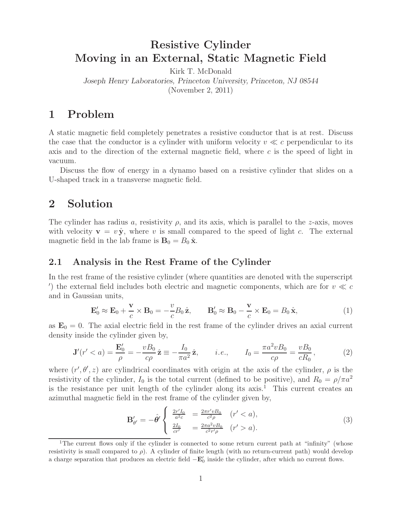# **Resistive Cylinder Moving in an External, Static Magnetic Field**

Kirk T. McDonald *Joseph Henry Laboratories, Princeton University, Princeton, NJ 08544* (November 2, 2011)

# **1 Problem**

A static magnetic field completely penetrates a resistive conductor that is at rest. Discuss the case that the conductor is a cylinder with uniform velocity  $v \ll c$  perpendicular to its axis and to the direction of the external magnetic field, where  $c$  is the speed of light in vacuum.

Discuss the flow of energy in a dynamo based on a resistive cylinder that slides on a U-shaped track in a transverse magnetic field.

## **2 Solution**

The cylinder has radius a, resistivity  $\rho$ , and its axis, which is parallel to the z-axis, moves with velocity  $\mathbf{v} = v \hat{\mathbf{y}}$ , where v is small compared to the speed of light c. The external magnetic field in the lab frame is  $\mathbf{B}_0 = B_0 \hat{\mathbf{x}}$ .

### **2.1 Analysis in the Rest Frame of the Cylinder**

In the rest frame of the resistive cylinder (where quantities are denoted with the superscript ) the external field includes both electric and magnetic components, which are for  $v \ll c$ and in Gaussian units,

$$
\mathbf{E}'_0 \approx \mathbf{E}_0 + \frac{\mathbf{v}}{c} \times \mathbf{B}_0 = -\frac{v}{c} B_0 \hat{\mathbf{z}}, \qquad \mathbf{B}'_0 \approx \mathbf{B}_0 - \frac{\mathbf{v}}{c} \times \mathbf{E}_0 = B_0 \hat{\mathbf{x}}, \tag{1}
$$

as  $\mathbf{E}_0 = 0$ . The axial electric field in the rest frame of the cylinder drives an axial current density inside the cylinder given by,

$$
\mathbf{J}'(r' < a) = \frac{\mathbf{E}'_0}{\rho} = -\frac{vB_0}{c\rho}\hat{\mathbf{z}} \equiv -\frac{I_0}{\pi a^2}\hat{\mathbf{z}}, \qquad i.e., \qquad I_0 = \frac{\pi a^2 vB_0}{c\rho} = \frac{vB_0}{cR_0},\tag{2}
$$

where  $(r', \theta', z)$  are cylindrical coordinates with origin at the axis of the cylinder,  $\rho$  is the resistivity of the cylinder,  $I_0$  is the total current (defined to be positive), and  $R_0 = \rho/\pi a^2$ is the resistance per unit length of the cylinder along its axis.<sup>1</sup> This current creates an azimuthal magnetic field in the rest frame of the cylinder given by,

$$
\mathbf{B}'_{\theta'} = -\hat{\theta}' \begin{cases} \frac{2r'I_0}{a^2c} &= \frac{2\pi r' v B_0}{c^2 \rho} & (r' < a), \\ \frac{2I_0}{cr'} &= \frac{2\pi a^2 v B_0}{c^2 r' \rho} & (r' > a). \end{cases} \tag{3}
$$

<sup>&</sup>lt;sup>1</sup>The current flows only if the cylinder is connected to some return current path at "infinity" (whose resistivity is small compared to  $\rho$ ). A cylinder of finite length (with no return-current path) would develop a charge separation that produces an electric field  $-\mathbf{E}'_0$  inside the cylinder, after which no current flows.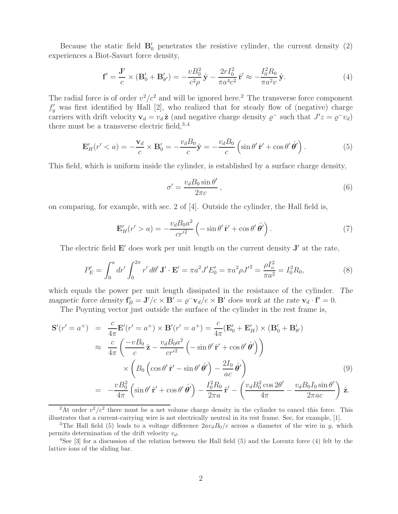Because the static field  $B_0'$  penetrates the resistive cylinder, the current density  $(2)$ experiences a Biot-Savart force density,

$$
\mathbf{f}' = \frac{\mathbf{J}'}{c} \times (\mathbf{B}'_0 + \mathbf{B}'_{\theta'}) = -\frac{vB_0^2}{c^2 \rho} \hat{\mathbf{y}} - \frac{2rI_0^2}{\pi a^4 c^2} \hat{\mathbf{r}}' \approx -\frac{I_0^2 R_0}{\pi a^2 v} \hat{\mathbf{y}}.
$$
 (4)

The radial force is of order  $v^2/c^2$  and will be ignored here.<sup>2</sup> The transverse force component  $f'_v$  was first identified by Hall [2], who realized that for steady flow of (negative) charge carriers with drift velocity  $\mathbf{v}_d = v_d \hat{\mathbf{z}}$  (and negative charge density  $\varrho^-$  such that  $J'z = \varrho^- v_d$ ) there must be a transverse electric field,  $3,4$ 

$$
\mathbf{E}'_H(r' < a) = -\frac{\mathbf{v}_d}{c} \times \mathbf{B}'_0 = -\frac{v_d B_0}{c} \hat{\mathbf{y}} = -\frac{v_d B_0}{c} \left( \sin \theta' \, \hat{\mathbf{r}}' + \cos \theta' \, \hat{\theta}' \right). \tag{5}
$$

This field, which is uniform inside the cylinder, is established by a surface charge density,

$$
\sigma' = \frac{v_d B_0 \sin \theta'}{2\pi c},\tag{6}
$$

on comparing, for example, with sec. 2 of [4]. Outside the cylinder, the Hall field is,

$$
\mathbf{E}'_H(r' > a) = -\frac{v_d B_0 a^2}{c r'^2} \left( -\sin \theta' \hat{\mathbf{r}}' + \cos \theta' \hat{\theta}' \right). \tag{7}
$$

The electric field  $\mathbf{E}'$  does work per unit length on the current density  $\mathbf{J}'$  at the rate,

$$
P'_E = \int_0^a dr' \int_0^{2\pi} r' d\theta' \mathbf{J}' \cdot \mathbf{E}' = \pi a^2 J' E'_0 = \pi a^2 \rho J'^2 = \frac{\rho I_o^2}{\pi a^2} = I_0^2 R_0,
$$
 (8)

which equals the power per unit length dissipated in the resistance of the cylinder. *The magnetic force density*  $\mathbf{f}'_B = \mathbf{J}'/c \times \mathbf{B}' = \rho^- \mathbf{v}_d/c \times \mathbf{B}'$  does work at the rate  $\mathbf{v}_d \cdot \mathbf{f}' = 0$ .

The Poynting vector just outside the surface of the cylinder in the rest frame is,

$$
\mathbf{S}'(r'=a^{+}) = \frac{c}{4\pi} \mathbf{E}'(r'=a^{+}) \times \mathbf{B}'(r'=a^{+}) = \frac{c}{4\pi} (\mathbf{E}'_{0} + \mathbf{E}'_{H}) \times (\mathbf{B}'_{0} + \mathbf{B}'_{\theta'})
$$
  
\n
$$
\approx \frac{c}{4\pi} \left( \frac{-vB_{0}}{c} \hat{\mathbf{z}} - \frac{v_{d}B_{0}a^{2}}{cr'^{2}} \left( -\sin\theta' \hat{\mathbf{r}}' + \cos\theta' \hat{\theta}' \right) \right)
$$
  
\n
$$
\times \left( B_{0} \left( \cos\theta' \hat{\mathbf{r}}' - \sin\theta' \hat{\theta}' \right) - \frac{2I_{0}}{ac} \hat{\theta}' \right)
$$
  
\n
$$
= -\frac{vB_{0}^{2}}{4\pi} \left( \sin\theta' \hat{\mathbf{r}}' + \cos\theta' \hat{\theta}' \right) - \frac{I_{0}^{2}R_{0}}{2\pi a} \hat{\mathbf{r}}' - \left( \frac{v_{d}B_{0}^{2} \cos 2\theta'}{4\pi} - \frac{v_{d}B_{0}I_{0} \sin\theta'}{2\pi ac} \right) \hat{\mathbf{z}}.
$$
 (9)

<sup>2</sup>At order  $v^2/c^2$  there must be a net volume charge density in the cylinder to cancel this force. This illustrates that a current-carrying wire is not electrically neutral in its rest frame. See, for example, [1].

<sup>&</sup>lt;sup>3</sup>The Hall field (5) leads to a voltage difference  $2av_dB_0/c$  across a diameter of the wire in y, which permits determination of the drift velocity  $v_d$ .

<sup>4</sup>See [3] for a discussion of the relation between the Hall field (5) and the Lorentz force (4) felt by the lattice ions of the sliding bar.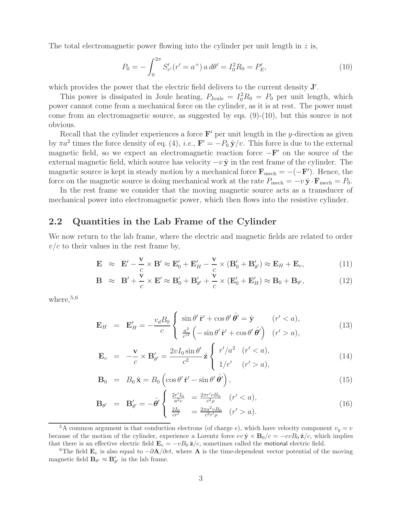The total electromagnetic power flowing into the cylinder per unit length in  $z$  is,

$$
P_0 = -\int_0^{2\pi} S'_{r'}(r' = a^+) a \, d\theta' = I_0^2 R_0 = P'_E,\tag{10}
$$

which provides the power that the electric field delivers to the current density **J'**.

This power is dissipated in Joule heating,  $P_{\text{Joule}} = I_0^2 R_0 = P_0$  per unit length, which power cannot come from a mechanical force on the cylinder, as it is at rest. The power must come from an electromagnetic source, as suggested by eqs. (9)-(10), but this source is not obvious.

Recall that the cylinder experiences a force  $\mathbf{F}'$  per unit length in the y-direction as given by  $\pi a^2$  times the force density of eq. (4), *i.e.*,  $\mathbf{F}' = -P_0 \hat{\mathbf{y}}/v$ . This force is due to the external magnetic field, so we expect an electromagnetic reaction force  $-\mathbf{F}'$  on the source of the external magnetic field, which source has velocity  $-v\hat{y}$  in the rest frame of the cylinder. The magnetic source is kept in steady motion by a mechanical force  $\mathbf{F}_{\text{mech}} = -(-\mathbf{F}')$ . Hence, the force on the magnetic source is doing mechanical work at the rate  $P_{\text{mech}} = -v \hat{\mathbf{y}} \cdot \mathbf{F}_{\text{mech}} = P_0$ .

In the rest frame we consider that the moving magnetic source acts as a transducer of mechanical power into electromagnetic power, which then flows into the resistive cylinder.

### **2.2 Quantities in the Lab Frame of the Cylinder**

We now return to the lab frame, where the electric and magnetic fields are related to order  $v/c$  to their values in the rest frame by,

$$
\mathbf{E} \approx \mathbf{E}' - \frac{\mathbf{v}}{c} \times \mathbf{B}' \approx \mathbf{E}'_0 + \mathbf{E}'_H - \frac{\mathbf{v}}{c} \times (\mathbf{B}'_0 + \mathbf{B}'_{\theta'}) \approx \mathbf{E}_H + \mathbf{E}_v,
$$
\n(11)

$$
\mathbf{B} \approx \mathbf{B}' + \frac{\mathbf{v}}{c} \times \mathbf{E}' \approx \mathbf{B}'_0 + \mathbf{B}'_{\theta'} + \frac{\mathbf{v}}{c} \times (\mathbf{E}'_0 + \mathbf{E}'_H) \approx \mathbf{B}_0 + \mathbf{B}_{\theta'}, \tag{12}
$$

where,  $5,6$ 

$$
\mathbf{E}_H = \mathbf{E}'_H = -\frac{v_d B_0}{c} \begin{cases} \sin \theta' \hat{\mathbf{r}}' + \cos \theta' \hat{\theta}' = \hat{\mathbf{y}} & (r' < a), \\ \frac{a^2}{r'^2} \left( -\sin \theta' \hat{\mathbf{r}}' + \cos \theta' \hat{\theta}' \right) & (r' > a), \end{cases}
$$
(13)

$$
\mathbf{E}_v = -\frac{\mathbf{v}}{c} \times \mathbf{B}'_{\theta'} = \frac{2vI_0 \sin \theta'}{c^2} \hat{\mathbf{z}} \begin{cases} r'/a^2 & (r' < a), \\ 1/r' & (r' > a), \end{cases}
$$
(14)

$$
\mathbf{B}_0 = B_0 \hat{\mathbf{x}} = B_0 \left( \cos \theta' \hat{\mathbf{r}}' - \sin \theta' \hat{\theta}' \right), \qquad (15)
$$

$$
\mathbf{B}_{\theta'} = \mathbf{B}'_{\theta'} = -\hat{\theta}' \begin{cases} \frac{2r'I_0}{a^2c} = \frac{2\pi r' v B_0}{c^2 \rho} & (r' < a), \\ \frac{2I_0}{cr'} = \frac{2\pi a^2 v B_0}{c^2 r' \rho} & (r' > a). \end{cases}
$$
(16)

<sup>&</sup>lt;sup>5</sup>A common argument is that conduction electrons (of charge e), which have velocity component  $v_y = v$ because of the motion of the cylinder, experience a Lorentz force  $ev \hat{\mathbf{y}} \times \mathbf{B}_0/c = -evB_0 \hat{\mathbf{z}}/c$ , which implies that there is an effective electric field  $\mathbf{E}_v = -vB_0 \hat{\mathbf{z}}/c$ , sometimes called the motional electric field.

<sup>&</sup>lt;sup>6</sup>The field  $\mathbf{E}_v$  is also equal to  $-\partial \mathbf{A}/\partial ct$ , where **A** is the time-dependent vector potential of the moving magnetic field  $\mathbf{B}_{\theta'} \approx \mathbf{B}'_{\theta'}$  in the lab frame.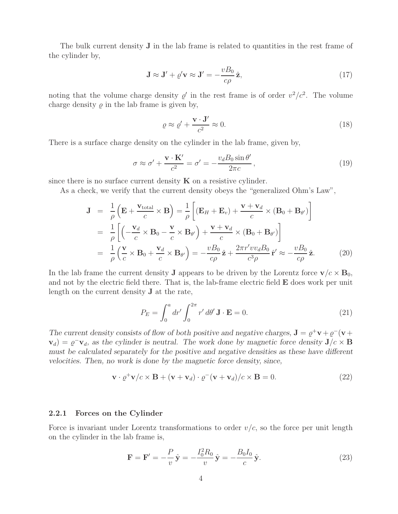The bulk current density **J** in the lab frame is related to quantities in the rest frame of the cylinder by,

$$
\mathbf{J} \approx \mathbf{J}' + \varrho' \mathbf{v} \approx \mathbf{J}' = -\frac{vB_0}{c\rho} \hat{\mathbf{z}},\tag{17}
$$

noting that the volume charge density  $\rho'$  in the rest frame is of order  $v^2/c^2$ . The volume charge density  $\rho$  in the lab frame is given by,

$$
\varrho \approx \varrho' + \frac{\mathbf{v} \cdot \mathbf{J}'}{c^2} \approx 0. \tag{18}
$$

There is a surface charge density on the cylinder in the lab frame, given by,

$$
\sigma \approx \sigma' + \frac{\mathbf{v} \cdot \mathbf{K}'}{c^2} = \sigma' = -\frac{v_d B_0 \sin \theta'}{2\pi c},
$$
\n(19)

since there is no surface current density  $\bf{K}$  on a resistive cylinder.

As a check, we verify that the current density obeys the "generalized Ohm's Law",

$$
\mathbf{J} = \frac{1}{\rho} \left( \mathbf{E} + \frac{\mathbf{v}_{\text{total}}}{c} \times \mathbf{B} \right) = \frac{1}{\rho} \left[ (\mathbf{E}_{H} + \mathbf{E}_{v}) + \frac{\mathbf{v} + \mathbf{v}_{d}}{c} \times (\mathbf{B}_{0} + \mathbf{B}_{\theta'}) \right]
$$
  
\n
$$
= \frac{1}{\rho} \left[ \left( -\frac{\mathbf{v}_{d}}{c} \times \mathbf{B}_{0} - \frac{\mathbf{v}}{c} \times \mathbf{B}_{\theta'} \right) + \frac{\mathbf{v} + \mathbf{v}_{d}}{c} \times (\mathbf{B}_{0} + \mathbf{B}_{\theta'}) \right]
$$
  
\n
$$
= \frac{1}{\rho} \left( \frac{\mathbf{v}}{c} \times \mathbf{B}_{0} + \frac{\mathbf{v}_{d}}{c} \times \mathbf{B}_{\theta'} \right) = -\frac{vB_{0}}{c\rho} \hat{\mathbf{z}} + \frac{2\pi r' v v_{d} B_{0}}{c^{3} \rho} \hat{\mathbf{r}}' \approx -\frac{vB_{0}}{c\rho} \hat{\mathbf{z}}.
$$
 (20)

In the lab frame the current density **J** appears to be driven by the Lorentz force  $\mathbf{v}/c \times \mathbf{B}_0$ , and not by the electric field there. That is, the lab-frame electric field **E** does work per unit length on the current density **J** at the rate,

$$
P_E = \int_0^a dr' \int_0^{2\pi} r' d\theta' \mathbf{J} \cdot \mathbf{E} = 0.
$$
 (21)

*The current density consists of flow of both positive and negative charges,*  $\mathbf{J} = \rho^+ \mathbf{v} + \rho^- (\mathbf{v} + \rho^-)$  $\mathbf{v}_d$ ) =  $\varrho^- \mathbf{v}_d$ , as the cylinder is neutral. The work done by magnetic force density  $\mathbf{J}/c \times \mathbf{B}$ *must be calculated separately for the positive and negative densities as these have different velocities. Then, no work is done by the magnetic force density, since,*

$$
\mathbf{v} \cdot \varrho^+ \mathbf{v}/c \times \mathbf{B} + (\mathbf{v} + \mathbf{v}_d) \cdot \varrho^-(\mathbf{v} + \mathbf{v}_d)/c \times \mathbf{B} = 0.
$$
 (22)

#### **2.2.1 Forces on the Cylinder**

Force is invariant under Lorentz transformations to order  $v/c$ , so the force per unit length on the cylinder in the lab frame is,

$$
\mathbf{F} = \mathbf{F}' = -\frac{P}{v}\hat{\mathbf{y}} = -\frac{I_0^2 R_0}{v}\hat{\mathbf{y}} = -\frac{B_0 I_0}{c}\hat{\mathbf{y}}.
$$
 (23)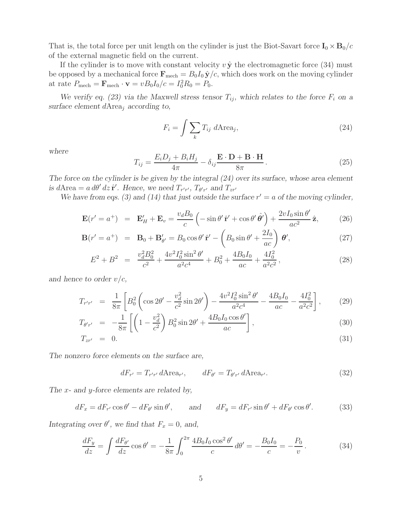That is, the total force per unit length on the cylinder is just the Biot-Savart force  $I_0 \times B_0/c$ of the external magnetic field on the current.

If the cylinder is to move with constant velocity  $v \hat{y}$  the electromagnetic force (34) must be opposed by a mechanical force  $\mathbf{F}_{\text{mech}} = B_0 I_0 \hat{\mathbf{y}}/c$ , which does work on the moving cylinder at rate  $P_{\text{mech}} = \mathbf{F}_{\text{mech}} \cdot \mathbf{v} = v B_0 I_0 / c = I_0^2 R_0 = P_0.$ 

*We verify eq. (23) via the Maxwell stress tensor*  $T_{ij}$ *, which relates to the force*  $F_i$  *on a surface element* dArea<sup>j</sup> *according to,*

$$
F_i = \int \sum_k T_{ij} \ d\text{Area}_j,\tag{24}
$$

*where*

$$
T_{ij} = \frac{E_i D_j + B_i H_j}{4\pi} - \delta_{ij} \frac{\mathbf{E} \cdot \mathbf{D} + \mathbf{B} \cdot \mathbf{H}}{8\pi}.
$$
 (25)

*The force on the cylinder is be given by the integral (24) over its surface, whose area element is*  $d$ Area =  $a d\theta' dz \hat{\mathbf{r}}'$ . Hence, we need  $T_{r'r'}$ ,  $T_{\theta' r'}$  and  $T_{zr'}$ 

We have from eqs. (3) and (14) that just outside the surface  $r' = a$  of the moving cylinder,

$$
\mathbf{E}(r'=a^+) = \mathbf{E}_H' + \mathbf{E}_v = \frac{v_d B_0}{c} \left( -\sin \theta' \hat{\mathbf{r}}' + \cos \theta' \hat{\theta}' \right) + \frac{2v I_0 \sin \theta'}{ac^2} \hat{\mathbf{z}},\tag{26}
$$

$$
\mathbf{B}(r'=a^+) = \mathbf{B}_0 + \mathbf{B}'_{\theta'} = B_0 \cos \theta' \hat{\mathbf{r}}' - \left(B_0 \sin \theta' + \frac{2I_0}{ac}\right) \theta', \tag{27}
$$

$$
E^{2} + B^{2} = \frac{v_{d}^{2}B_{0}^{2}}{c^{2}} + \frac{4v^{2}I_{0}^{2}\sin^{2}\theta'}{a^{2}c^{4}} + B_{0}^{2} + \frac{4B_{0}I_{0}}{ac} + \frac{4I_{0}^{2}}{a^{2}c^{2}},
$$
\n(28)

*and hence to order* v/c*,*

$$
T_{r'r'} = \frac{1}{8\pi} \left[ B_0^2 \left( \cos 2\theta' - \frac{v_d^2}{c^2} \sin 2\theta' \right) - \frac{4v^2 I_0^2 \sin^2 \theta'}{a^2 c^4} - \frac{4B_0 I_0}{ac} - \frac{4I_0^2}{a^2 c^2} \right],\tag{29}
$$

$$
T_{\theta' r'} = -\frac{1}{8\pi} \left[ \left( 1 - \frac{v_d^2}{c^2} \right) B_0^2 \sin 2\theta' + \frac{4B_0 I_0 \cos \theta'}{ac} \right],\tag{30}
$$

$$
T_{z r'} = 0. \tag{31}
$$

*The nonzero force elements on the surface are,*

$$
dF_{r'} = T_{r'r'} d \text{Area}_{r'}, \qquad dF_{\theta'} = T_{\theta'r'} d \text{Area}_{r'}.
$$
 (32)

*The* x*- and* y*-force elements are related by,*

$$
dF_x = dF_{r'}\cos\theta' - dF_{\theta'}\sin\theta', \qquad \text{and} \qquad dF_y = dF_{r'}\sin\theta' + dF_{\theta'}\cos\theta'. \tag{33}
$$

*Integrating over*  $\theta'$ , we find that  $F_x = 0$ , and,

$$
\frac{dF_y}{dz} = \int \frac{dF_{\theta'}}{dz} \cos \theta' = -\frac{1}{8\pi} \int_0^{2\pi} \frac{4B_0 I_0 \cos^2 \theta'}{c} d\theta' = -\frac{B_0 I_0}{c} = -\frac{P_0}{v}.
$$
 (34)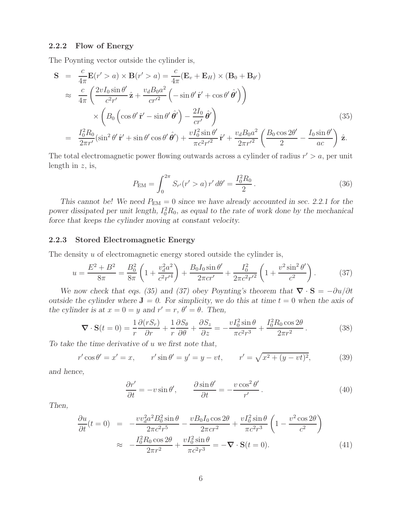#### **2.2.2 Flow of Energy**

The Poynting vector outside the cylinder is,

$$
\mathbf{S} = \frac{c}{4\pi} \mathbf{E}(r' > a) \times \mathbf{B}(r' > a) = \frac{c}{4\pi} (\mathbf{E}_v + \mathbf{E}_H) \times (\mathbf{B}_0 + \mathbf{B}_{\theta'})
$$
  
\n
$$
\approx \frac{c}{4\pi} \left( \frac{2vI_0 \sin \theta'}{c^2 r'} \hat{\mathbf{z}} + \frac{v_d B_0 a^2}{c r'^2} \left( -\sin \theta' \hat{\mathbf{r}}' + \cos \theta' \hat{\theta}' \right) \right)
$$
  
\n
$$
\times \left( B_0 \left( \cos \theta' \hat{\mathbf{r}}' - \sin \theta' \hat{\theta}' \right) - \frac{2I_0}{cr'} \hat{\theta}' \right)
$$
  
\n
$$
= \frac{I_0^2 R_0}{2\pi r'} (\sin^2 \theta' \hat{\mathbf{r}}' + \sin \theta' \cos \theta' \hat{\theta}') + \frac{vI_0^2 \sin \theta'}{\pi c^2 r'^2} \hat{\mathbf{r}}' + \frac{v_d B_0 a^2}{2\pi r'^2} \left( \frac{B_0 \cos 2\theta'}{2} - \frac{I_0 \sin \theta'}{ac} \right) \hat{\mathbf{z}}.
$$
 (35)

The total electromagnetic power flowing outwards across a cylinder of radius  $r' > a$ , per unit length in  $z$ , is,

$$
P_{\text{EM}} = \int_0^{2\pi} S_{r'}(r' > a) r' d\theta' = \frac{I_0^2 R_0}{2}.
$$
 (36)

*This cannot be! We need*  $P_{EM} = 0$  *since we have already accounted in sec. 2.2.1 for the* power dissipated per unit length,  $I_0^2 R_0$ , as equal to the rate of work done by the mechanical *force that keeps the cylinder moving at constant velocity.*

#### **2.2.3 Stored Electromagnetic Energy**

The density u of electromagnetic energy stored outside the cylinder is,

$$
u = \frac{E^2 + B^2}{8\pi} = \frac{B_0^2}{8\pi} \left( 1 + \frac{v_d^2 a^2}{c^2 r'^4} \right) + \frac{B_0 I_0 \sin \theta'}{2\pi c r'} + \frac{I_0^2}{2\pi c^2 r'^2} \left( 1 + \frac{v^2 \sin^2 \theta'}{c^2} \right). \tag{37}
$$

*We now check that eqs. (35) and (37) obey Poynting's theorem that*  $\nabla \cdot \mathbf{S} = -\partial u/\partial t$ *outside the cylinder where*  $J = 0$ . For simplicity, we do this at time  $t = 0$  when the axis of *the cylinder is at*  $x = 0 = y$  *and*  $r' = r$ ,  $\theta' = \theta$ . Then,

$$
\nabla \cdot \mathbf{S}(t=0) = \frac{1}{r} \frac{\partial (rS_r)}{\partial r} + \frac{1}{r} \frac{\partial S_\theta}{\partial \theta} + \frac{\partial S_z}{\partial z} = -\frac{vI_0^2 \sin \theta}{\pi c^2 r^3} + \frac{I_0^2 R_0 \cos 2\theta}{2\pi r^2}.
$$
 (38)

*To take the time derivative of* u *we first note that,*

$$
r' \cos \theta' = x' = x, \qquad r' \sin \theta' = y' = y - vt, \qquad r' = \sqrt{x^2 + (y - vt)^2}, \tag{39}
$$

*and hence,*

$$
\frac{\partial r'}{\partial t} = -v \sin \theta', \qquad \frac{\partial \sin \theta'}{\partial t} = -\frac{v \cos^2 \theta'}{r'}.
$$
 (40)

*Then,*

$$
\frac{\partial u}{\partial t}(t=0) = -\frac{v v_d^2 a^2 B_0^2 \sin \theta}{2\pi c^2 r^5} - \frac{v B_0 I_0 \cos 2\theta}{2\pi c r^2} + \frac{v I_0^2 \sin \theta}{\pi c^2 r^3} \left(1 - \frac{v^2 \cos 2\theta}{c^2}\right)
$$
  

$$
\approx -\frac{I_0^2 R_0 \cos 2\theta}{2\pi r^2} + \frac{v I_0^2 \sin \theta}{\pi c^2 r^3} = -\nabla \cdot \mathbf{S}(t=0).
$$
 (41)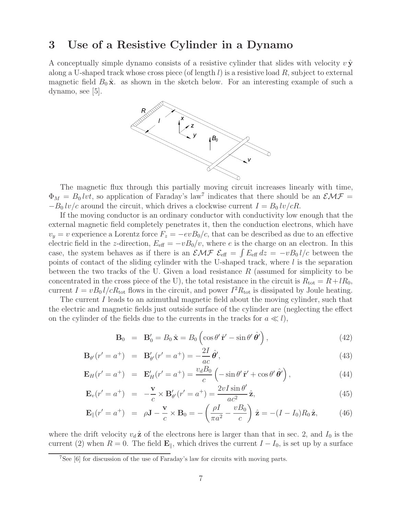## **3 Use of a Resistive Cylinder in a Dynamo**

A conceptually simple dynamo consists of a resistive cylinder that slides with velocity  $v \hat{y}$ along a U-shaped track whose cross piece (of length  $l$ ) is a resistive load  $R$ , subject to external magnetic field  $B_0 \hat{\mathbf{x}}$  as shown in the sketch below. For an interesting example of such a  $dynamo$ , see  $|5|$ .



The magnetic flux through this partially moving circuit increases linearly with time,  $\Phi_M = B_0 lvt$ , so application of Faraday's law<sup>7</sup> indicates that there should be an  $\mathcal{EMF} =$  $-B_0 \, \text{iv}/c$  around the circuit, which drives a clockwise current  $I = B_0 \, \text{iv}/cR$ .

If the moving conductor is an ordinary conductor with conductivity low enough that the external magnetic field completely penetrates it, then the conduction electrons, which have  $v_y = v$  experience a Lorentz force  $F_z = -evB_0/c$ , that can be described as due to an effective electric field in the z-direction,  $E_{\text{eff}} = -vB_0/v$ , where e is the charge on an electron. In this case, the system behaves as if there is an  $\mathcal{EMF}\ \mathcal{E}_{\text{eff}} = \int E_{\text{eff}} dz = -vB_0 l/c$  between the points of contact of the sliding cylinder with the U-shaped track, where  $l$  is the separation between the two tracks of the U. Given a load resistance  $R$  (assumed for simplicity to be concentrated in the cross piece of the U), the total resistance in the circuit is  $R_{\text{tot}} = R + lR_0$ , current  $I = vB_0 l/cR_{\text{tot}}$  flows in the circuit, and power  $I^2R_{\text{tot}}$  is dissipated by Joule heating.

The current I leads to an azimuthal magnetic field about the moving cylinder, such that the electric and magnetic fields just outside surface of the cylinder are (neglecting the effect on the cylinder of the fields due to the currents in the tracks for  $a \ll l$ ),

$$
\mathbf{B}_0 = \mathbf{B}'_0 = B_0 \hat{\mathbf{x}} = B_0 \left( \cos \theta' \hat{\mathbf{r}}' - \sin \theta' \hat{\theta}' \right), \tag{42}
$$

$$
\mathbf{B}_{\theta'}(r'=a^+) = \mathbf{B}'_{\theta'}(r'=a^+) = -\frac{2I}{ac}\hat{\theta}',\tag{43}
$$

$$
\mathbf{E}_{H}(r'=a^{+}) = \mathbf{E}'_{H}(r'=a^{+}) = \frac{v_{d}B_{0}}{c} \left(-\sin\theta'\,\hat{\mathbf{r}}' + \cos\theta'\,\hat{\boldsymbol{\theta}}'\right),\tag{44}
$$

$$
\mathbf{E}_v(r'=a^+) = -\frac{\mathbf{v}}{c} \times \mathbf{B}'_{\theta'}(r'=a^+) = \frac{2vI\sin\theta'}{ac^2}\hat{\mathbf{z}},\tag{45}
$$

$$
\mathbf{E}_{\parallel}(r'=a^{+}) = \rho \mathbf{J} - \frac{\mathbf{v}}{c} \times \mathbf{B}_{0} = -\left(\frac{\rho I}{\pi a^{2}} - \frac{vB_{0}}{c}\right) \hat{\mathbf{z}} = -(I - I_{0})R_{0} \hat{\mathbf{z}}, \quad (46)
$$

where the drift velocity  $v_d \hat{z}$  of the electrons here is larger than that in sec. 2, and  $I_0$  is the current (2) when  $R = 0$ . The field  $\mathbf{E}_{\parallel}$ , which drives the current  $I - I_0$ , is set up by a surface

<sup>7</sup>See [6] for discussion of the use of Faraday's law for circuits with moving parts.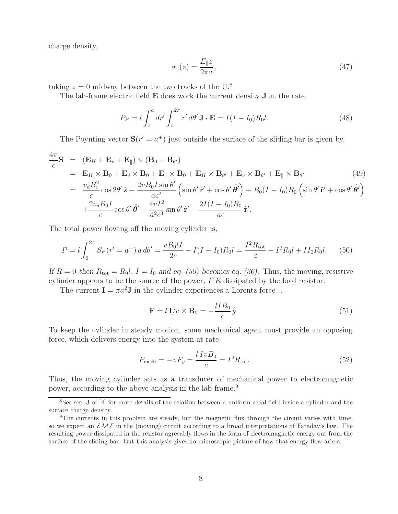charge density,

$$
\sigma_{\parallel}(z) = \frac{E_{\parallel}z}{2\pi a},\tag{47}
$$

taking  $z = 0$  midway between the two tracks of the U.<sup>8</sup>

The lab-frame electric field **E** does work the current density **J** at the rate,

$$
P_E = l \int_0^a dr' \int_0^{2\pi} r' d\theta' \mathbf{J} \cdot \mathbf{E} = I(I - I_0) R_0 l.
$$
 (48)

The Poynting vector  $S(r' = a^+)$  just outside the surface of the sliding bar is given by,

$$
\frac{4\pi}{c}\mathbf{S} = (\mathbf{E}_{H} + \mathbf{E}_{v} + \mathbf{E}_{\parallel}) \times (\mathbf{B}_{0} + \mathbf{B}_{\theta'})
$$
\n
$$
= \mathbf{E}_{H} \times \mathbf{B}_{0} + \mathbf{E}_{v} \times \mathbf{B}_{0} + \mathbf{E}_{\parallel} \times \mathbf{B}_{0} + \mathbf{E}_{H} \times \mathbf{B}_{\theta'} + \mathbf{E}_{v} \times \mathbf{B}_{\theta'} + \mathbf{E}_{\parallel} \times \mathbf{B}_{\theta'}
$$
\n
$$
= \frac{v_{d}B_{0}^{2}}{c} \cos 2\theta' \hat{\mathbf{z}} + \frac{2vB_{0}I \sin \theta'}{ac^{2}} \left( \sin \theta' \hat{\mathbf{r}}' + \cos \theta' \hat{\theta'} \right) - B_{0}(I - I_{0})R_{0} \left( \sin \theta' \hat{\mathbf{r}}' + \cos \theta' \hat{\theta'} \right)
$$
\n
$$
+ \frac{2v_{d}B_{0}I}{c} \cos \theta' \hat{\theta'} + \frac{4vI^{2}}{a^{2}c^{3}} \sin \theta' \hat{\mathbf{r}}' - \frac{2I(I - I_{0})R_{0}}{ac} \hat{\mathbf{r}}'.
$$
\n(49)

The total power flowing off the moving cylinder is,

$$
P = l \int_0^{2\pi} S_{r'}(r' = a^+) a d\theta' = \frac{v B_0 l I}{2c} - I(I - I_0) R_0 l = \frac{I^2 R_{\text{tot}}}{2} - I^2 R_0 l + II_0 R_0 l. \tag{50}
$$

*If*  $R = 0$  *then*  $R_{\text{tot}} = R_0 l$ ,  $I = I_0$  *and eq.* (50) becomes eq. (36). Thus, the moving, resistive cylinder appears to be the source of the power,  $I^2R$  dissipated by the load resistor.

The current  $I = \pi a^2 J$  in the cylinder experiences a Lorentz force,

$$
\mathbf{F} = l \mathbf{I}/c \times \mathbf{B}_0 = -\frac{lIB_0}{c} \hat{\mathbf{y}}.
$$
 (51)

To keep the cylinder in steady motion, some mechanical agent must provide an opposing force, which delivers energy into the system at rate,

$$
P_{\text{mech}} = -vF_y = \frac{l\;IvB_0}{c} = I^2R_{\text{tot}}.\tag{52}
$$

Thus, the moving cylinder acts as a transducer of mechanical power to electromagnetic power, according to the above analysis in the lab frame.<sup>9</sup>

 $8$ See sec. 3 of [4] for more details of the relation between a uniform axial field inside a cylinder and the surface charge density.

<sup>9</sup>The currents in this problem are steady, but the magnetic flux through the circuit varies with time, so we expect an  $\mathcal{EMF}$  in the (moving) circuit according to a broad interpretations of Faraday's law. The resulting power dissipated in the resistor agreeably flows in the form of electromagnetic energy out from the surface of the sliding bar. But this analysis gives no microscopic picture of how that energy flow arises.